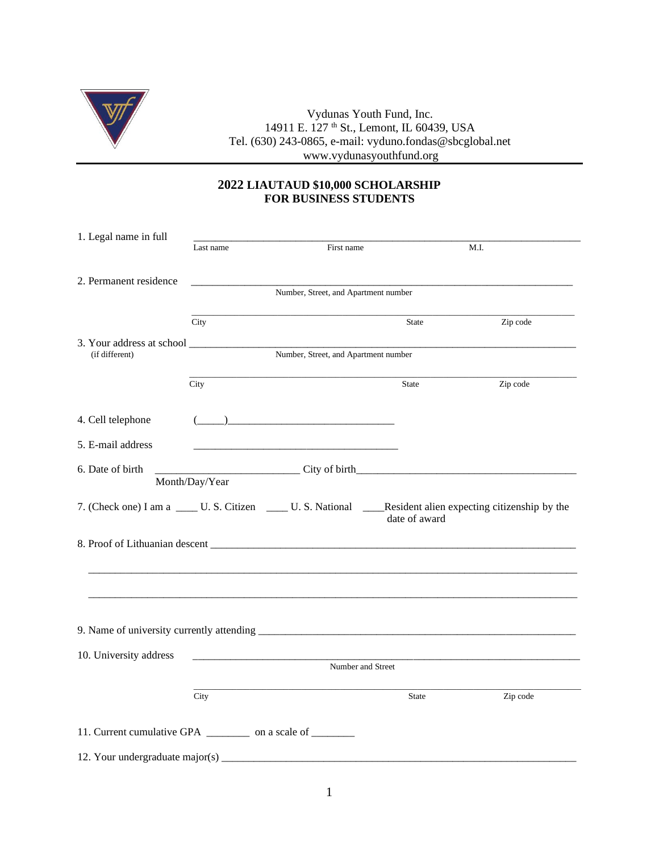

Vydunas Youth Fund, Inc. 14911 E. 127 <sup>th</sup> St., Lemont, IL 60439, USA Tel. (630) 243-0865, e-mail: vyduno.fondas@sbcglobal.net www.vydunasyouthfund.org

## **2022 LIAUTAUD \$10,000 SCHOLARSHIP FOR BUSINESS STUDENTS**

| 1. Legal name in full                                               |                                      |                                                                                                                                                                                                                                                                                                                                                                     |               |          |  |  |
|---------------------------------------------------------------------|--------------------------------------|---------------------------------------------------------------------------------------------------------------------------------------------------------------------------------------------------------------------------------------------------------------------------------------------------------------------------------------------------------------------|---------------|----------|--|--|
|                                                                     | Last name                            | First name                                                                                                                                                                                                                                                                                                                                                          | M.I.          |          |  |  |
|                                                                     |                                      |                                                                                                                                                                                                                                                                                                                                                                     |               |          |  |  |
| 2. Permanent residence                                              |                                      |                                                                                                                                                                                                                                                                                                                                                                     |               |          |  |  |
|                                                                     | Number, Street, and Apartment number |                                                                                                                                                                                                                                                                                                                                                                     |               |          |  |  |
|                                                                     |                                      |                                                                                                                                                                                                                                                                                                                                                                     |               |          |  |  |
|                                                                     | City                                 |                                                                                                                                                                                                                                                                                                                                                                     | State         | Zip code |  |  |
|                                                                     |                                      |                                                                                                                                                                                                                                                                                                                                                                     |               |          |  |  |
| (if different)                                                      | Number, Street, and Apartment number |                                                                                                                                                                                                                                                                                                                                                                     |               |          |  |  |
|                                                                     |                                      |                                                                                                                                                                                                                                                                                                                                                                     |               |          |  |  |
|                                                                     | City                                 |                                                                                                                                                                                                                                                                                                                                                                     | <b>State</b>  | Zip code |  |  |
|                                                                     |                                      |                                                                                                                                                                                                                                                                                                                                                                     |               |          |  |  |
| 4. Cell telephone                                                   |                                      | $\begin{picture}(20,10) \put(0,0){\vector(1,0){100}} \put(15,0){\vector(1,0){100}} \put(15,0){\vector(1,0){100}} \put(15,0){\vector(1,0){100}} \put(15,0){\vector(1,0){100}} \put(15,0){\vector(1,0){100}} \put(15,0){\vector(1,0){100}} \put(15,0){\vector(1,0){100}} \put(15,0){\vector(1,0){100}} \put(15,0){\vector(1,0){100}} \put(15,0){\vector(1,0){100}} \$ |               |          |  |  |
| 5. E-mail address                                                   |                                      |                                                                                                                                                                                                                                                                                                                                                                     |               |          |  |  |
|                                                                     |                                      |                                                                                                                                                                                                                                                                                                                                                                     |               |          |  |  |
| 6. Date of birth                                                    |                                      |                                                                                                                                                                                                                                                                                                                                                                     |               |          |  |  |
|                                                                     | Month/Day/Year                       |                                                                                                                                                                                                                                                                                                                                                                     |               |          |  |  |
|                                                                     |                                      | 7. (Check one) I am a _____ U. S. Citizen ______ U. S. National ______Resident alien expecting citizenship by the                                                                                                                                                                                                                                                   |               |          |  |  |
|                                                                     |                                      |                                                                                                                                                                                                                                                                                                                                                                     | date of award |          |  |  |
|                                                                     |                                      |                                                                                                                                                                                                                                                                                                                                                                     |               |          |  |  |
|                                                                     |                                      |                                                                                                                                                                                                                                                                                                                                                                     |               |          |  |  |
|                                                                     |                                      |                                                                                                                                                                                                                                                                                                                                                                     |               |          |  |  |
|                                                                     |                                      |                                                                                                                                                                                                                                                                                                                                                                     |               |          |  |  |
|                                                                     |                                      |                                                                                                                                                                                                                                                                                                                                                                     |               |          |  |  |
|                                                                     |                                      |                                                                                                                                                                                                                                                                                                                                                                     |               |          |  |  |
|                                                                     |                                      |                                                                                                                                                                                                                                                                                                                                                                     |               |          |  |  |
|                                                                     |                                      |                                                                                                                                                                                                                                                                                                                                                                     |               |          |  |  |
| 10. University address                                              | Number and Street                    |                                                                                                                                                                                                                                                                                                                                                                     |               |          |  |  |
|                                                                     |                                      |                                                                                                                                                                                                                                                                                                                                                                     |               |          |  |  |
|                                                                     | City                                 |                                                                                                                                                                                                                                                                                                                                                                     | State         | Zip code |  |  |
|                                                                     |                                      |                                                                                                                                                                                                                                                                                                                                                                     |               |          |  |  |
| 11. Current cumulative GPA _______________ on a scale of __________ |                                      |                                                                                                                                                                                                                                                                                                                                                                     |               |          |  |  |
|                                                                     |                                      |                                                                                                                                                                                                                                                                                                                                                                     |               |          |  |  |
| 12. Your undergraduate major(s)                                     |                                      |                                                                                                                                                                                                                                                                                                                                                                     |               |          |  |  |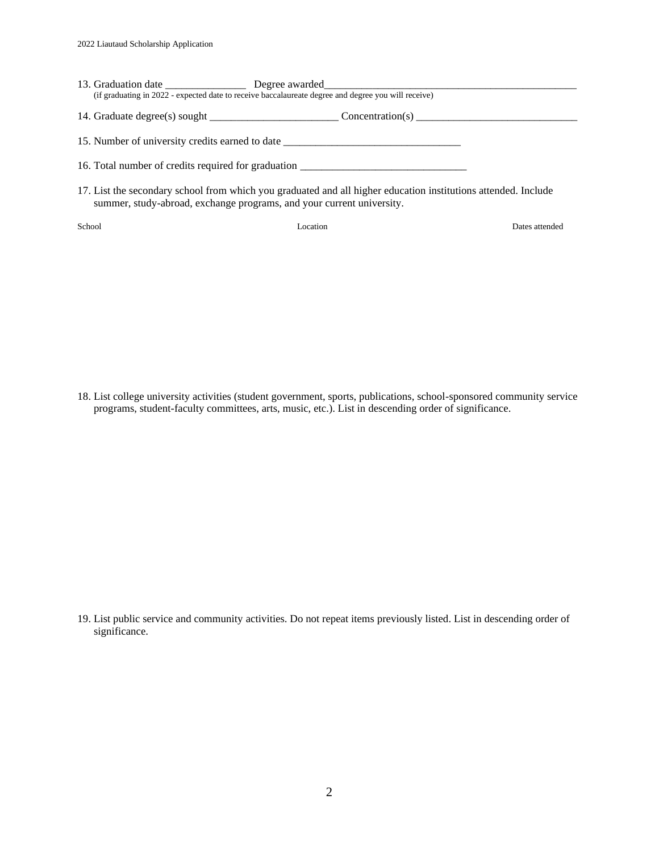| (if graduating in 2022 - expected date to receive baccalaureate degree and degree you will receive)            |  |
|----------------------------------------------------------------------------------------------------------------|--|
|                                                                                                                |  |
| 15. Number of university credits earned to date ________________________________                               |  |
| 16. Total number of credits required for graduation ____________________________                               |  |
| 17. List the secondary school from which you graduated and all higher education institutions attended. Include |  |

summer, study-abroad, exchange programs, and your current university.

School Location Dates attended

18. List college university activities (student government, sports, publications, school-sponsored community service programs, student-faculty committees, arts, music, etc.). List in descending order of significance.

19. List public service and community activities. Do not repeat items previously listed. List in descending order of significance.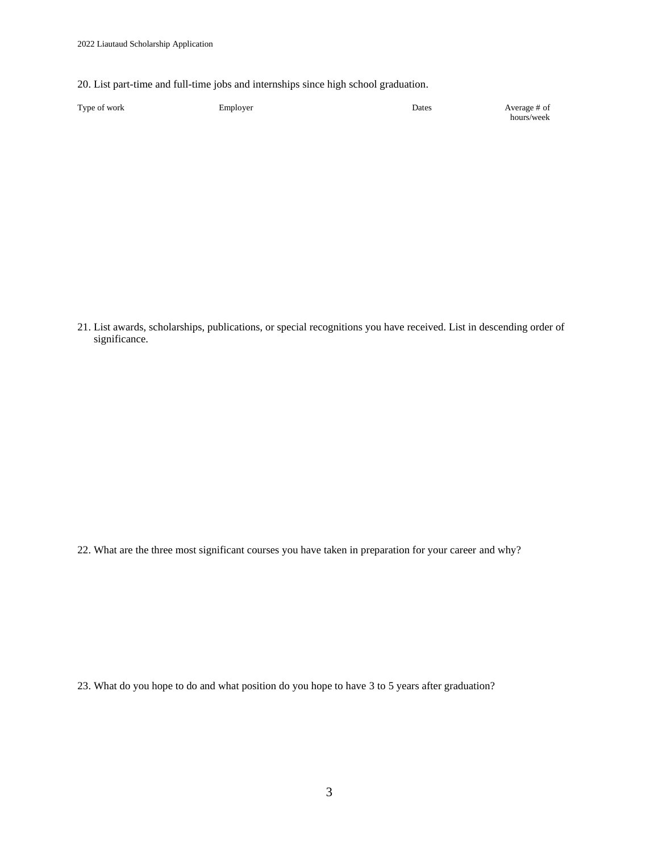20. List part-time and full-time jobs and internships since high school graduation.

| Type of work | Employer | Dates | Average # of |
|--------------|----------|-------|--------------|
|              |          |       | hours/week   |

21. List awards, scholarships, publications, or special recognitions you have received. List in descending order of significance.

22. What are the three most significant courses you have taken in preparation for your career and why?

23. What do you hope to do and what position do you hope to have 3 to 5 years after graduation?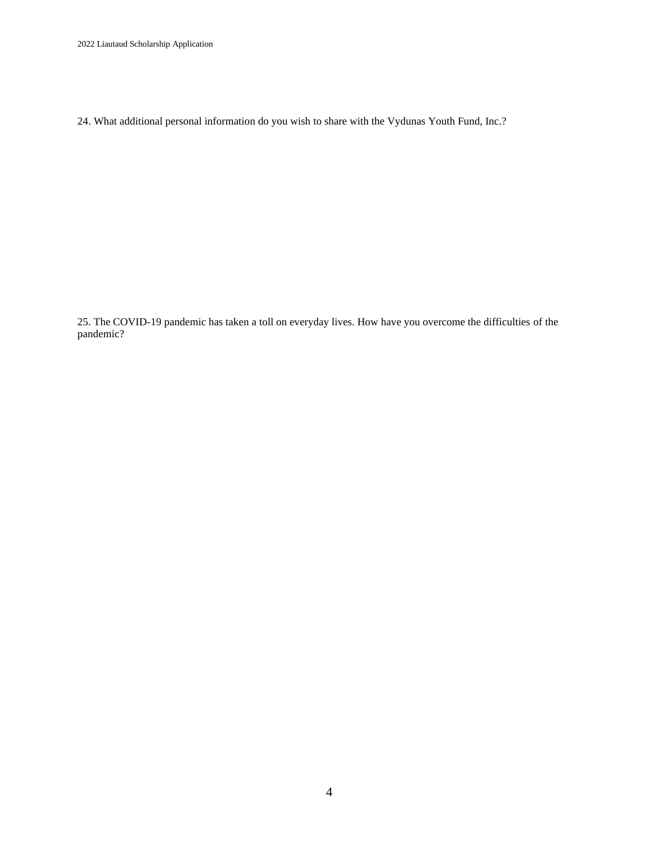2022 Liautaud Scholarship Application

24. What additional personal information do you wish to share with the Vydunas Youth Fund, Inc.?

25. The COVID-19 pandemic has taken a toll on everyday lives. How have you overcome the difficulties of the pandemic?